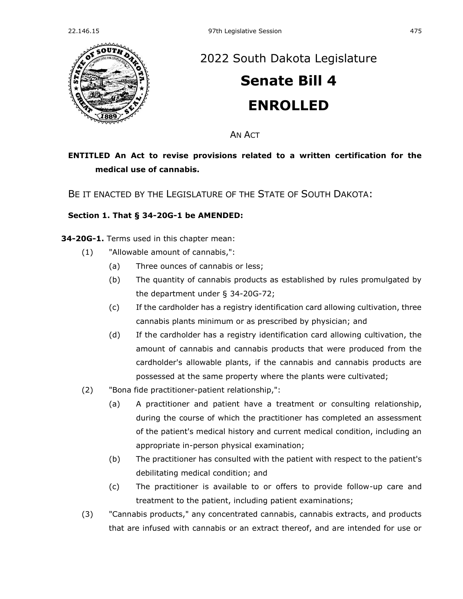

## [2022 South Dakota Legislature](https://sdlegislature.gov/Session/Bills/64)

# **[Senate Bill 4](https://sdlegislature.gov/Session/Bill/22699) ENROLLED**

AN ACT

## **ENTITLED An Act to revise provisions related to a written certification for the medical use of cannabis.**

BE IT ENACTED BY THE LEGISLATURE OF THE STATE OF SOUTH DAKOTA:

### **Section 1. [That § 34-20G-1 be AMENDED:](https://sdlegislature.gov/Statutes?Statute=34-20G-1)**

**[34-20G-1.](https://sdlegislature.gov/Statutes?Statute=34-20G-1)** Terms used in this chapter mean:

- (1) "Allowable amount of cannabis,":
	- (a) Three ounces of cannabis or less;
	- (b) The quantity of cannabis products as established by rules promulgated by the department under § [34-20G-72;](https://sdlegislature.gov/Statutes?Statute=34-20G-72)
	- (c) If the cardholder has a registry identification card allowing cultivation, three cannabis plants minimum or as prescribed by physician; and
	- (d) If the cardholder has a registry identification card allowing cultivation, the amount of cannabis and cannabis products that were produced from the cardholder's allowable plants, if the cannabis and cannabis products are possessed at the same property where the plants were cultivated;
- (2) "Bona fide practitioner-patient relationship,":
	- (a) A practitioner and patient have a treatment or consulting relationship, during the course of which the practitioner has completed an assessment of the patient's medical history and current medical condition, including an appropriate in-person physical examination;
	- (b) The practitioner has consulted with the patient with respect to the patient's debilitating medical condition; and
	- (c) The practitioner is available to or offers to provide follow-up care and treatment to the patient, including patient examinations;
- (3) "Cannabis products," any concentrated cannabis, cannabis extracts, and products that are infused with cannabis or an extract thereof, and are intended for use or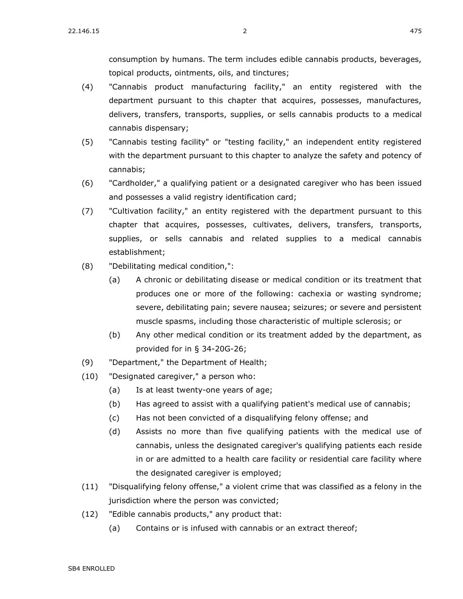consumption by humans. The term includes edible cannabis products, beverages, topical products, ointments, oils, and tinctures;

- (4) "Cannabis product manufacturing facility," an entity registered with the department pursuant to this chapter that acquires, possesses, manufactures, delivers, transfers, transports, supplies, or sells cannabis products to a medical cannabis dispensary;
- (5) "Cannabis testing facility" or "testing facility," an independent entity registered with the department pursuant to this chapter to analyze the safety and potency of cannabis;
- (6) "Cardholder," a qualifying patient or a designated caregiver who has been issued and possesses a valid registry identification card;
- (7) "Cultivation facility," an entity registered with the department pursuant to this chapter that acquires, possesses, cultivates, delivers, transfers, transports, supplies, or sells cannabis and related supplies to a medical cannabis establishment;
- (8) "Debilitating medical condition,":
	- (a) A chronic or debilitating disease or medical condition or its treatment that produces one or more of the following: cachexia or wasting syndrome; severe, debilitating pain; severe nausea; seizures; or severe and persistent muscle spasms, including those characteristic of multiple sclerosis; or
	- (b) Any other medical condition or its treatment added by the department, as provided for in § [34-20G-26;](https://sdlegislature.gov/Statutes?Statute=34-20G-26)
- (9) "Department," the Department of Health;
- (10) "Designated caregiver," a person who:
	- (a) Is at least twenty-one years of age;
	- (b) Has agreed to assist with a qualifying patient's medical use of cannabis;
	- (c) Has not been convicted of a disqualifying felony offense; and
	- (d) Assists no more than five qualifying patients with the medical use of cannabis, unless the designated caregiver's qualifying patients each reside in or are admitted to a health care facility or residential care facility where the designated caregiver is employed;
- (11) "Disqualifying felony offense," a violent crime that was classified as a felony in the jurisdiction where the person was convicted;
- (12) "Edible cannabis products," any product that:
	- (a) Contains or is infused with cannabis or an extract thereof;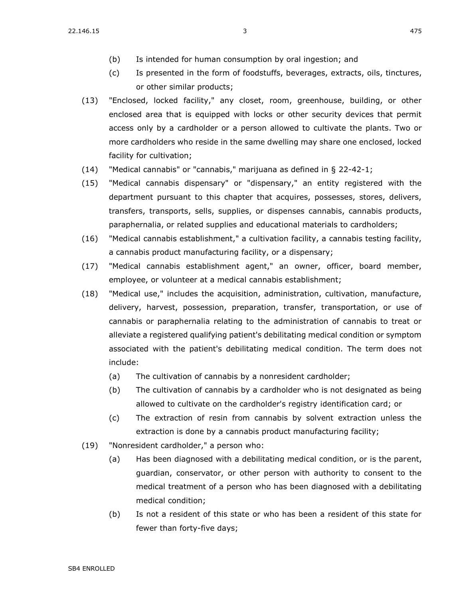- (b) Is intended for human consumption by oral ingestion; and
- (c) Is presented in the form of foodstuffs, beverages, extracts, oils, tinctures, or other similar products;
- (13) "Enclosed, locked facility," any closet, room, greenhouse, building, or other enclosed area that is equipped with locks or other security devices that permit access only by a cardholder or a person allowed to cultivate the plants. Two or more cardholders who reside in the same dwelling may share one enclosed, locked facility for cultivation;
- $(14)$  "Medical cannabis" or "cannabis," marijuana as defined in § [22-42-1;](https://sdlegislature.gov/Statutes?Statute=22-42-1)
- (15) "Medical cannabis dispensary" or "dispensary," an entity registered with the department pursuant to this chapter that acquires, possesses, stores, delivers, transfers, transports, sells, supplies, or dispenses cannabis, cannabis products, paraphernalia, or related supplies and educational materials to cardholders;
- (16) "Medical cannabis establishment," a cultivation facility, a cannabis testing facility, a cannabis product manufacturing facility, or a dispensary;
- (17) "Medical cannabis establishment agent," an owner, officer, board member, employee, or volunteer at a medical cannabis establishment;
- (18) "Medical use," includes the acquisition, administration, cultivation, manufacture, delivery, harvest, possession, preparation, transfer, transportation, or use of cannabis or paraphernalia relating to the administration of cannabis to treat or alleviate a registered qualifying patient's debilitating medical condition or symptom associated with the patient's debilitating medical condition. The term does not include:
	- (a) The cultivation of cannabis by a nonresident cardholder;
	- (b) The cultivation of cannabis by a cardholder who is not designated as being allowed to cultivate on the cardholder's registry identification card; or
	- (c) The extraction of resin from cannabis by solvent extraction unless the extraction is done by a cannabis product manufacturing facility;
- (19) "Nonresident cardholder," a person who:
	- (a) Has been diagnosed with a debilitating medical condition, or is the parent, guardian, conservator, or other person with authority to consent to the medical treatment of a person who has been diagnosed with a debilitating medical condition;
	- (b) Is not a resident of this state or who has been a resident of this state for fewer than forty-five days;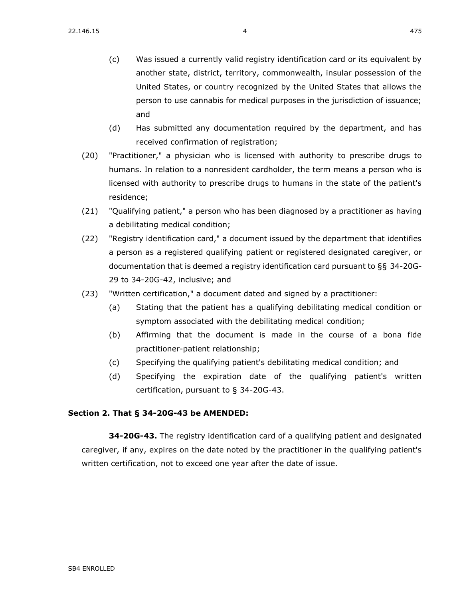- (c) Was issued a currently valid registry identification card or its equivalent by another state, district, territory, commonwealth, insular possession of the United States, or country recognized by the United States that allows the person to use cannabis for medical purposes in the jurisdiction of issuance; and
- (d) Has submitted any documentation required by the department, and has received confirmation of registration;
- (20) "Practitioner," a physician who is licensed with authority to prescribe drugs to humans. In relation to a nonresident cardholder, the term means a person who is licensed with authority to prescribe drugs to humans in the state of the patient's residence;
- (21) "Qualifying patient," a person who has been diagnosed by a practitioner as having a debilitating medical condition;
- (22) "Registry identification card," a document issued by the department that identifies a person as a registered qualifying patient or registered designated caregiver, or documentation that is deemed a registry identification card pursuant to §§ [34-20G-](https://sdlegislature.gov/Statutes?Statute=34-20G-29)[29](https://sdlegislature.gov/Statutes?Statute=34-20G-29) to [34-20G-42,](https://sdlegislature.gov/Statutes?Statute=34-20G-42) inclusive; and
- (23) "Written certification," a document dated and signed by a practitioner:
	- (a) Stating that the patient has a qualifying debilitating medical condition or symptom associated with the debilitating medical condition;
	- (b) Affirming that the document is made in the course of a bona fide practitioner-patient relationship;
	- (c) Specifying the qualifying patient's debilitating medical condition; and
	- (d) Specifying the expiration date of the qualifying patient's written certification, pursuant to § [34-20G-43.](https://sdlegislature.gov/Statutes?Statute=34-20G-43)

### **Section 2. [That § 34-20G-43 be AMENDED:](https://sdlegislature.gov/Statutes?Statute=34-20G-43)**

**[34-20G-43.](https://sdlegislature.gov/Statutes?Statute=34-20G-43)** The registry identification card of a qualifying patient and designated caregiver, if any, expires on the date noted by the practitioner in the qualifying patient's written certification, not to exceed one year after the date of issue.